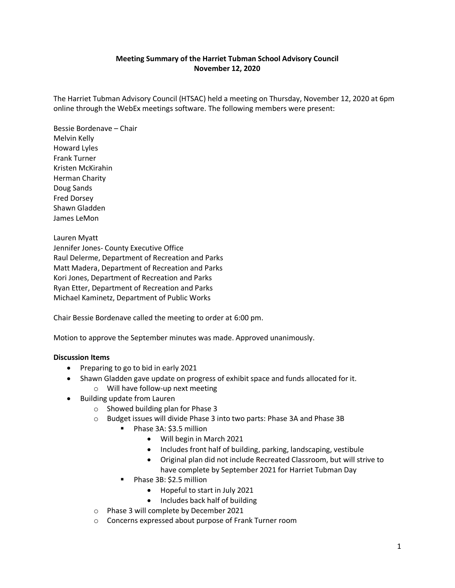## **Meeting Summary of the Harriet Tubman School Advisory Council November 12, 2020**

The Harriet Tubman Advisory Council (HTSAC) held a meeting on Thursday, November 12, 2020 at 6pm online through the WebEx meetings software. The following members were present:

Bessie Bordenave – Chair Melvin Kelly Howard Lyles Frank Turner Kristen McKirahin Herman Charity Doug Sands Fred Dorsey Shawn Gladden James LeMon

Lauren Myatt Jennifer Jones- County Executive Office Raul Delerme, Department of Recreation and Parks Matt Madera, Department of Recreation and Parks Kori Jones, Department of Recreation and Parks Ryan Etter, Department of Recreation and Parks Michael Kaminetz, Department of Public Works

Chair Bessie Bordenave called the meeting to order at 6:00 pm.

Motion to approve the September minutes was made. Approved unanimously.

## **Discussion Items**

- Preparing to go to bid in early 2021
- Shawn Gladden gave update on progress of exhibit space and funds allocated for it.
	- o Will have follow-up next meeting
- Building update from Lauren
	- o Showed building plan for Phase 3
	- o Budget issues will divide Phase 3 into two parts: Phase 3A and Phase 3B
		- Phase 3A: \$3.5 million
			- Will begin in March 2021
			- Includes front half of building, parking, landscaping, vestibule
			- Original plan did not include Recreated Classroom, but will strive to have complete by September 2021 for Harriet Tubman Day
		- Phase 3B: \$2.5 million
			- Hopeful to start in July 2021
			- Includes back half of building
	- o Phase 3 will complete by December 2021
	- o Concerns expressed about purpose of Frank Turner room